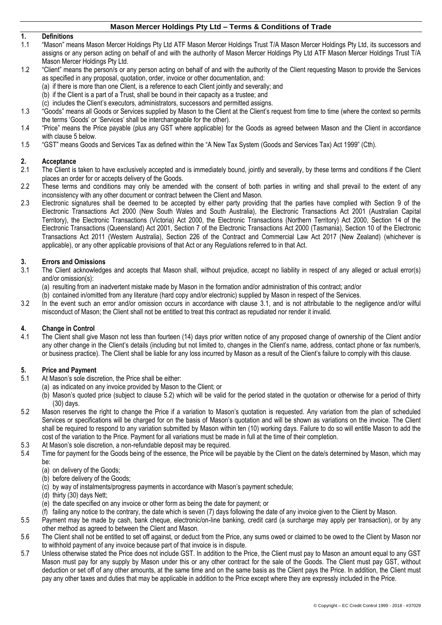# **1. Definitions**

- 1.1 "Mason" means Mason Mercer Holdings Pty Ltd ATF Mason Mercer Holdings Trust T/A Mason Mercer Holdings Pty Ltd, its successors and assigns or any person acting on behalf of and with the authority of Mason Mercer Holdings Pty Ltd ATF Mason Mercer Holdings Trust T/A Mason Mercer Holdings Pty Ltd.
- 1.2 "Client" means the person/s or any person acting on behalf of and with the authority of the Client requesting Mason to provide the Services as specified in any proposal, quotation, order, invoice or other documentation, and:
	- (a) if there is more than one Client, is a reference to each Client jointly and severally; and
	- (b) if the Client is a part of a Trust, shall be bound in their capacity as a trustee; and
	- (c) includes the Client's executors, administrators, successors and permitted assigns.
- 1.3 "Goods" means all Goods or Services supplied by Mason to the Client at the Client's request from time to time (where the context so permits the terms 'Goods' or 'Services' shall be interchangeable for the other).
- 1.4 "Price" means the Price payable (plus any GST where applicable) for the Goods as agreed between Mason and the Client in accordance with claus[e 5](#page-0-0) below.
- 1.5 "GST" means Goods and Services Tax as defined within the "A New Tax System (Goods and Services Tax) Act 1999" (Cth).

# **2. Acceptance**

- 2.1 The Client is taken to have exclusively accepted and is immediately bound, jointly and severally, by these terms and conditions if the Client places an order for or accepts delivery of the Goods.
- 2.2 These terms and conditions may only be amended with the consent of both parties in writing and shall prevail to the extent of any inconsistency with any other document or contract between the Client and Mason.
- 2.3 Electronic signatures shall be deemed to be accepted by either party providing that the parties have complied with Section 9 of the Electronic Transactions Act 2000 (New South Wales and South Australia), the Electronic Transactions Act 2001 (Australian Capital Territory), the Electronic Transactions (Victoria) Act 2000, the Electronic Transactions (Northern Territory) Act 2000, Section 14 of the Electronic Transactions (Queensland) Act 2001, Section 7 of the Electronic Transactions Act 2000 (Tasmania), Section 10 of the Electronic Transactions Act 2011 (Western Australia), Section 226 of the Contract and Commercial Law Act 2017 (New Zealand) (whichever is applicable), or any other applicable provisions of that Act or any Regulations referred to in that Act.

#### **3. Errors and Omissions**

- <span id="page-0-1"></span>3.1 The Client acknowledges and accepts that Mason shall, without prejudice, accept no liability in respect of any alleged or actual error(s) and/or omission(s):
	- (a) resulting from an inadvertent mistake made by Mason in the formation and/or administration of this contract; and/or
	- (b) contained in/omitted from any literature (hard copy and/or electronic) supplied by Mason in respect of the Services.
- 3.2 In the event such an error and/or omission occurs in accordance with clause [3.1,](#page-0-1) and is not attributable to the negligence and/or wilful misconduct of Mason; the Client shall not be entitled to treat this contract as repudiated nor render it invalid.

### **4. Change in Control**

4.1 The Client shall give Mason not less than fourteen (14) days prior written notice of any proposed change of ownership of the Client and/or any other change in the Client's details (including but not limited to, changes in the Client's name, address, contact phone or fax number/s, or business practice). The Client shall be liable for any loss incurred by Mason as a result of the Client's failure to comply with this clause.

#### <span id="page-0-0"></span>**5. Price and Payment**

- 5.1 At Mason's sole discretion, the Price shall be either:
	- (a) as indicated on any invoice provided by Mason to the Client; or
		- (b) Mason's quoted price (subject to clause [5.2\)](#page-0-2) which will be valid for the period stated in the quotation or otherwise for a period of thirty (30) days.
- <span id="page-0-2"></span>5.2 Mason reserves the right to change the Price if a variation to Mason's quotation is requested. Any variation from the plan of scheduled Services or specifications will be charged for on the basis of Mason's quotation and will be shown as variations on the invoice. The Client shall be required to respond to any variation submitted by Mason within ten (10) working days. Failure to do so will entitle Mason to add the cost of the variation to the Price. Payment for all variations must be made in full at the time of their completion.
- 5.3 At Mason's sole discretion, a non-refundable deposit may be required.<br>5.4 Time for payment for the Goods being of the essence, the Price will be
	- Time for payment for the Goods being of the essence, the Price will be payable by the Client on the date/s determined by Mason, which may be:
		- (a) on delivery of the Goods;
		- (b) before delivery of the Goods;
		- (c) by way of instalments/progress payments in accordance with Mason's payment schedule;
		- (d) thirty (30) days Nett;
		- (e) the date specified on any invoice or other form as being the date for payment; or
		- (f) failing any notice to the contrary, the date which is seven (7) days following the date of any invoice given to the Client by Mason.
- 5.5 Payment may be made by cash, bank cheque, electronic/on-line banking, credit card (a surcharge may apply per transaction), or by any other method as agreed to between the Client and Mason.
- 5.6 The Client shall not be entitled to set off against, or deduct from the Price, any sums owed or claimed to be owed to the Client by Mason nor to withhold payment of any invoice because part of that invoice is in dispute.
- 5.7 Unless otherwise stated the Price does not include GST. In addition to the Price, the Client must pay to Mason an amount equal to any GST Mason must pay for any supply by Mason under this or any other contract for the sale of the Goods. The Client must pay GST, without deduction or set off of any other amounts, at the same time and on the same basis as the Client pays the Price. In addition, the Client must pay any other taxes and duties that may be applicable in addition to the Price except where they are expressly included in the Price.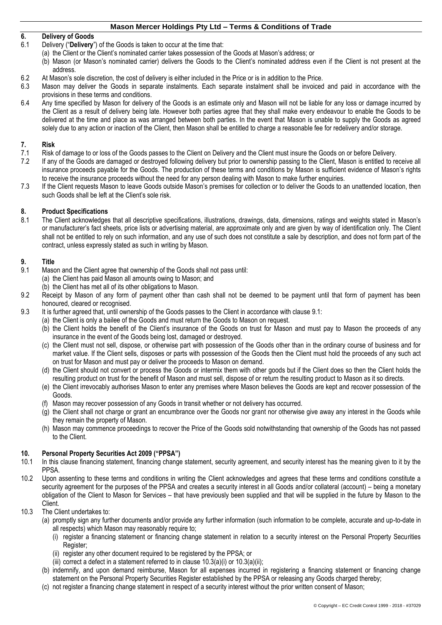# **6. Delivery of Goods**

- 6.1 Delivery ("**Delivery**") of the Goods is taken to occur at the time that:
- (a) the Client or the Client's nominated carrier takes possession of the Goods at Mason's address; or
- (b) Mason (or Mason's nominated carrier) delivers the Goods to the Client's nominated address even if the Client is not present at the address.
- 6.2 At Mason's sole discretion, the cost of delivery is either included in the Price or is in addition to the Price.<br>6.3 Mason may deliver the Goods in separate instalments. Each separate instalment shall be invoiced
- Mason may deliver the Goods in separate instalments. Each separate instalment shall be invoiced and paid in accordance with the provisions in these terms and conditions.
- 6.4 Any time specified by Mason for delivery of the Goods is an estimate only and Mason will not be liable for any loss or damage incurred by the Client as a result of delivery being late. However both parties agree that they shall make every endeavour to enable the Goods to be delivered at the time and place as was arranged between both parties. In the event that Mason is unable to supply the Goods as agreed solely due to any action or inaction of the Client, then Mason shall be entitled to charge a reasonable fee for redelivery and/or storage.

# **7. Risk**

- 7.1 Risk of damage to or loss of the Goods passes to the Client on Delivery and the Client must insure the Goods on or before Delivery.<br>7.2 If any of the Goods are damaged or destroved following delivery but prior to owner
- If any of the Goods are damaged or destroyed following delivery but prior to ownership passing to the Client, Mason is entitled to receive all insurance proceeds payable for the Goods. The production of these terms and conditions by Mason is sufficient evidence of Mason's rights to receive the insurance proceeds without the need for any person dealing with Mason to make further enquiries.
- 7.3 If the Client requests Mason to leave Goods outside Mason's premises for collection or to deliver the Goods to an unattended location, then such Goods shall be left at the Client's sole risk.

### **8. Product Specifications**

8.1 The Client acknowledges that all descriptive specifications, illustrations, drawings, data, dimensions, ratings and weights stated in Mason's or manufacturer's fact sheets, price lists or advertising material, are approximate only and are given by way of identification only. The Client shall not be entitled to rely on such information, and any use of such does not constitute a sale by description, and does not form part of the contract, unless expressly stated as such in writing by Mason.

### **9. Title**

- <span id="page-1-0"></span>9.1 Mason and the Client agree that ownership of the Goods shall not pass until: (a) the Client has paid Mason all amounts owing to Mason; and
	- (b) the Client has met all of its other obligations to Mason.
- 9.2 Receipt by Mason of any form of payment other than cash shall not be deemed to be payment until that form of payment has been honoured, cleared or recognised.
- 9.3 It is further agreed that, until ownership of the Goods passes to the Client in accordance with claus[e 9.1:](#page-1-0)
	- (a) the Client is only a bailee of the Goods and must return the Goods to Mason on request.
		- (b) the Client holds the benefit of the Client's insurance of the Goods on trust for Mason and must pay to Mason the proceeds of any insurance in the event of the Goods being lost, damaged or destroyed.
		- (c) the Client must not sell, dispose, or otherwise part with possession of the Goods other than in the ordinary course of business and for market value. If the Client sells, disposes or parts with possession of the Goods then the Client must hold the proceeds of any such act on trust for Mason and must pay or deliver the proceeds to Mason on demand.
		- (d) the Client should not convert or process the Goods or intermix them with other goods but if the Client does so then the Client holds the resulting product on trust for the benefit of Mason and must sell, dispose of or return the resulting product to Mason as it so directs.
		- (e) the Client irrevocably authorises Mason to enter any premises where Mason believes the Goods are kept and recover possession of the Goods.
		- (f) Mason may recover possession of any Goods in transit whether or not delivery has occurred.
		- (g) the Client shall not charge or grant an encumbrance over the Goods nor grant nor otherwise give away any interest in the Goods while they remain the property of Mason.
		- (h) Mason may commence proceedings to recover the Price of the Goods sold notwithstanding that ownership of the Goods has not passed to the Client.

# <span id="page-1-5"></span>**10. Personal Property Securities Act 2009 ("PPSA")**

- In this clause financing statement, financing change statement, security agreement, and security interest has the meaning given to it by the PPSA.
- 10.2 Upon assenting to these terms and conditions in writing the Client acknowledges and agrees that these terms and conditions constitute a security agreement for the purposes of the PPSA and creates a security interest in all Goods and/or collateral (account) – being a monetary obligation of the Client to Mason for Services – that have previously been supplied and that will be supplied in the future by Mason to the Client.
- <span id="page-1-4"></span><span id="page-1-3"></span><span id="page-1-2"></span><span id="page-1-1"></span>10.3 The Client undertakes to:
	- (a) promptly sign any further documents and/or provide any further information (such information to be complete, accurate and up-to-date in all respects) which Mason may reasonably require to;
		- (i) register a financing statement or financing change statement in relation to a security interest on the Personal Property Securities Register;
		- (ii) register any other document required to be registered by the PPSA; or
		- (iii) correct a defect in a statement referred to in clause  $10.3(a)(i)$  $10.3(a)(i)$  $10.3(a)(i)$  or  $10.3(a)(ii)$ ;
	- (b) indemnify, and upon demand reimburse, Mason for all expenses incurred in registering a financing statement or financing change statement on the Personal Property Securities Register established by the PPSA or releasing any Goods charged thereby;
	- (c) not register a financing change statement in respect of a security interest without the prior written consent of Mason;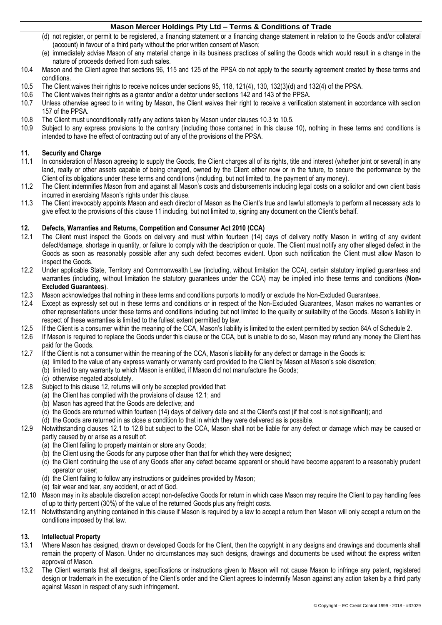- (d) not register, or permit to be registered, a financing statement or a financing change statement in relation to the Goods and/or collateral (account) in favour of a third party without the prior written consent of Mason;
- (e) immediately advise Mason of any material change in its business practices of selling the Goods which would result in a change in the nature of proceeds derived from such sales.
- 10.4 Mason and the Client agree that sections 96, 115 and 125 of the PPSA do not apply to the security agreement created by these terms and conditions.
- <span id="page-2-0"></span>10.5 The Client waives their rights to receive notices under sections 95, 118, 121(4), 130, 132(3)(d) and 132(4) of the PPSA.<br>10.6 The Client waives their rights as a grantor and/or a debtor under sections 142 and 143 of t
- 10.6 The Client waives their rights as a grantor and/or a debtor under sections 142 and 143 of the PPSA.
- Unless otherwise agreed to in writing by Mason, the Client waives their right to receive a verification statement in accordance with section 157 of the PPSA.
- 10.8 The Client must unconditionally ratify any actions taken by Mason under clauses [10.3](#page-1-1) t[o 10.5.](#page-2-0)
- Subject to any express provisions to the contrary (including those contained in this clause [10\)](#page-1-5), nothing in these terms and conditions is intended to have the effect of contracting out of any of the provisions of the PPSA.

# <span id="page-2-1"></span>**11. Security and Charge**

- In consideration of Mason agreeing to supply the Goods, the Client charges all of its rights, title and interest (whether joint or several) in any land, realty or other assets capable of being charged, owned by the Client either now or in the future, to secure the performance by the Client of its obligations under these terms and conditions (including, but not limited to, the payment of any money).
- 11.2 The Client indemnifies Mason from and against all Mason's costs and disbursements including legal costs on a solicitor and own client basis incurred in exercising Mason's rights under this clause.
- 11.3 The Client irrevocably appoints Mason and each director of Mason as the Client's true and lawful attorney/s to perform all necessary acts to give effect to the provisions of this claus[e 11](#page-2-1) including, but not limited to, signing any document on the Client's behalf.

### <span id="page-2-2"></span>**12. Defects, Warranties and Returns, Competition and Consumer Act 2010 (CCA)**

- <span id="page-2-3"></span>12.1 The Client must inspect the Goods on delivery and must within fourteen (14) days of delivery notify Mason in writing of any evident defect/damage, shortage in quantity, or failure to comply with the description or quote. The Client must notify any other alleged defect in the Goods as soon as reasonably possible after any such defect becomes evident. Upon such notification the Client must allow Mason to inspect the Goods.
- 12.2 Under applicable State, Territory and Commonwealth Law (including, without limitation the CCA), certain statutory implied guarantees and warranties (including, without limitation the statutory guarantees under the CCA) may be implied into these terms and conditions (**Non-Excluded Guarantees**).
- 12.3 Mason acknowledges that nothing in these terms and conditions purports to modify or exclude the Non-Excluded Guarantees.
- 12.4 Except as expressly set out in these terms and conditions or in respect of the Non-Excluded Guarantees, Mason makes no warranties or other representations under these terms and conditions including but not limited to the quality or suitability of the Goods. Mason's liability in respect of these warranties is limited to the fullest extent permitted by law.
- 12.5 If the Client is a consumer within the meaning of the CCA, Mason's liability is limited to the extent permitted by section 64A of Schedule 2.
- 12.6 If Mason is required to replace the Goods under this clause or the CCA, but is unable to do so, Mason may refund any money the Client has paid for the Goods.
- 12.7 If the Client is not a consumer within the meaning of the CCA, Mason's liability for any defect or damage in the Goods is:
	- (a) limited to the value of any express warranty or warranty card provided to the Client by Mason at Mason's sole discretion;
	- (b) limited to any warranty to which Mason is entitled, if Mason did not manufacture the Goods;
	- (c) otherwise negated absolutely.
- <span id="page-2-4"></span>12.8 Subject to this clause [12,](#page-2-2) returns will only be accepted provided that:
	- (a) the Client has complied with the provisions of clause [12.1;](#page-2-3) and
	- (b) Mason has agreed that the Goods are defective; and
	- (c) the Goods are returned within fourteen (14) days of delivery date and at the Client's cost (if that cost is not significant); and
	- (d) the Goods are returned in as close a condition to that in which they were delivered as is possible.
- 12.9 Notwithstanding clauses [12.1](#page-2-3) to [12.8](#page-2-4) but subject to the CCA, Mason shall not be liable for any defect or damage which may be caused or partly caused by or arise as a result of:
	- (a) the Client failing to properly maintain or store any Goods;
	- (b) the Client using the Goods for any purpose other than that for which they were designed;
	- (c) the Client continuing the use of any Goods after any defect became apparent or should have become apparent to a reasonably prudent operator or user;
	- (d) the Client failing to follow any instructions or guidelines provided by Mason;
	- (e) fair wear and tear, any accident, or act of God.
- 12.10 Mason may in its absolute discretion accept non-defective Goods for return in which case Mason may require the Client to pay handling fees of up to thirty percent (30%) of the value of the returned Goods plus any freight costs.
- 12.11 Notwithstanding anything contained in this clause if Mason is required by a law to accept a return then Mason will only accept a return on the conditions imposed by that law.

### **13. Intellectual Property**

- 13.1 Where Mason has designed, drawn or developed Goods for the Client, then the copyright in any designs and drawings and documents shall remain the property of Mason. Under no circumstances may such designs, drawings and documents be used without the express written approval of Mason.
- 13.2 The Client warrants that all designs, specifications or instructions given to Mason will not cause Mason to infringe any patent, registered design or trademark in the execution of the Client's order and the Client agrees to indemnify Mason against any action taken by a third party against Mason in respect of any such infringement.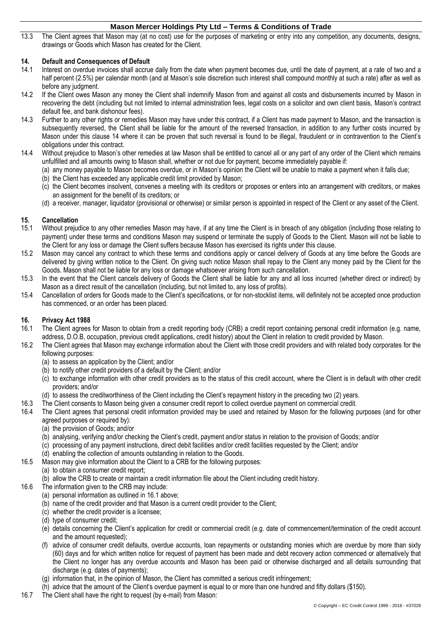13.3 The Client agrees that Mason may (at no cost) use for the purposes of marketing or entry into any competition, any documents, designs, drawings or Goods which Mason has created for the Client.

# <span id="page-3-0"></span>**14. Default and Consequences of Default**

- Interest on overdue invoices shall accrue daily from the date when payment becomes due, until the date of payment, at a rate of two and a half percent (2.5%) per calendar month (and at Mason's sole discretion such interest shall compound monthly at such a rate) after as well as before any judgment.
- 14.2 If the Client owes Mason any money the Client shall indemnify Mason from and against all costs and disbursements incurred by Mason in recovering the debt (including but not limited to internal administration fees, legal costs on a solicitor and own client basis, Mason's contract default fee, and bank dishonour fees).
- 14.3 Further to any other rights or remedies Mason may have under this contract, if a Client has made payment to Mason, and the transaction is subsequently reversed, the Client shall be liable for the amount of the reversed transaction, in addition to any further costs incurred by Mason under this clause [14](#page-3-0) where it can be proven that such reversal is found to be illegal, fraudulent or in contravention to the Client's obligations under this contract.
- 14.4 Without prejudice to Mason's other remedies at law Mason shall be entitled to cancel all or any part of any order of the Client which remains unfulfilled and all amounts owing to Mason shall, whether or not due for payment, become immediately payable if:
	- (a) any money payable to Mason becomes overdue, or in Mason's opinion the Client will be unable to make a payment when it falls due;
	- (b) the Client has exceeded any applicable credit limit provided by Mason;
	- (c) the Client becomes insolvent, convenes a meeting with its creditors or proposes or enters into an arrangement with creditors, or makes an assignment for the benefit of its creditors; or
	- (d) a receiver, manager, liquidator (provisional or otherwise) or similar person is appointed in respect of the Client or any asset of the Client.

### **15. Cancellation**

- 15.1 Without prejudice to any other remedies Mason may have, if at any time the Client is in breach of any obligation (including those relating to payment) under these terms and conditions Mason may suspend or terminate the supply of Goods to the Client. Mason will not be liable to the Client for any loss or damage the Client suffers because Mason has exercised its rights under this clause.
- 15.2 Mason may cancel any contract to which these terms and conditions apply or cancel delivery of Goods at any time before the Goods are delivered by giving written notice to the Client. On giving such notice Mason shall repay to the Client any money paid by the Client for the Goods. Mason shall not be liable for any loss or damage whatsoever arising from such cancellation.
- 15.3 In the event that the Client cancels delivery of Goods the Client shall be liable for any and all loss incurred (whether direct or indirect) by Mason as a direct result of the cancellation (including, but not limited to, any loss of profits).
- 15.4 Cancellation of orders for Goods made to the Client's specifications, or for non-stocklist items, will definitely not be accepted once production has commenced, or an order has been placed.

### **16. Privacy Act 1988**

- <span id="page-3-1"></span>16.1 The Client agrees for Mason to obtain from a credit reporting body (CRB) a credit report containing personal credit information (e.g. name, address, D.O.B, occupation, previous credit applications, credit history) about the Client in relation to credit provided by Mason.
- 16.2 The Client agrees that Mason may exchange information about the Client with those credit providers and with related body corporates for the following purposes:
	- (a) to assess an application by the Client; and/or
	- (b) to notify other credit providers of a default by the Client; and/or
	- (c) to exchange information with other credit providers as to the status of this credit account, where the Client is in default with other credit providers; and/or
	- (d) to assess the creditworthiness of the Client including the Client's repayment history in the preceding two (2) years.
- 16.3 The Client consents to Mason being given a consumer credit report to collect overdue payment on commercial credit.
- 16.4 The Client agrees that personal credit information provided may be used and retained by Mason for the following purposes (and for other agreed purposes or required by):
	- (a) the provision of Goods; and/or
	- (b) analysing, verifying and/or checking the Client's credit, payment and/or status in relation to the provision of Goods; and/or
	- (c) processing of any payment instructions, direct debit facilities and/or credit facilities requested by the Client; and/or
	- (d) enabling the collection of amounts outstanding in relation to the Goods.
- 16.5 Mason may give information about the Client to a CRB for the following purposes:
	- (a) to obtain a consumer credit report;
	- (b) allow the CRB to create or maintain a credit information file about the Client including credit history.
- 16.6 The information given to the CRB may include:
	- (a) personal information as outlined in [16.1](#page-3-1) above;
	- (b) name of the credit provider and that Mason is a current credit provider to the Client;
	- (c) whether the credit provider is a licensee;
	- (d) type of consumer credit;
	- (e) details concerning the Client's application for credit or commercial credit (e.g. date of commencement/termination of the credit account and the amount requested);
	- (f) advice of consumer credit defaults, overdue accounts, loan repayments or outstanding monies which are overdue by more than sixty (60) days and for which written notice for request of payment has been made and debt recovery action commenced or alternatively that the Client no longer has any overdue accounts and Mason has been paid or otherwise discharged and all details surrounding that discharge (e.g. dates of payments);
	- (g) information that, in the opinion of Mason, the Client has committed a serious credit infringement;
	- (h) advice that the amount of the Client's overdue payment is equal to or more than one hundred and fifty dollars (\$150).
- 16.7 The Client shall have the right to request (by e-mail) from Mason: